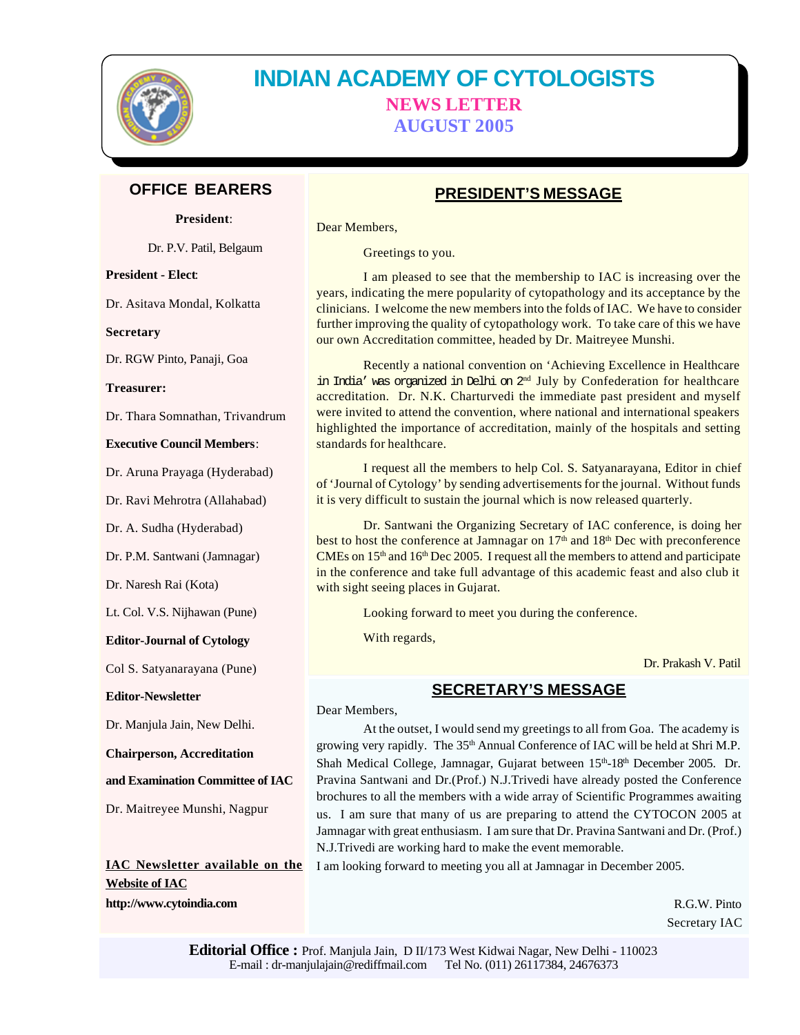

# **INDIAN ACADEMY OF CYTOLOGISTS NEWS LETTER AUGUST 2005**

# **OFFICE BEARERS**

**President**:

Dr. P.V. Patil, Belgaum

**President - Elect**:

Dr. Asitava Mondal, Kolkatta

**Secretary**

Dr. RGW Pinto, Panaji, Goa

**Treasurer:**

Dr. Thara Somnathan, Trivandrum

#### **Executive Council Members**:

Dr. Aruna Prayaga (Hyderabad)

Dr. Ravi Mehrotra (Allahabad)

Dr. A. Sudha (Hyderabad)

Dr. P.M. Santwani (Jamnagar)

Dr. Naresh Rai (Kota)

Lt. Col. V.S. Nijhawan (Pune)

#### **Editor-Journal of Cytology**

Col S. Satyanarayana (Pune)

**Editor-Newsletter**

Dr. Manjula Jain, New Delhi.

**Chairperson, Accreditation**

Dr. Maitreyee Munshi, Nagpur

**and Examination Committee of IAC**

**IAC Newsletter available on the Website of IAC http://www.cytoindia.com**

# **PRESIDENT'S MESSAGE**

Dear Members,

Greetings to you.

I am pleased to see that the membership to IAC is increasing over the years, indicating the mere popularity of cytopathology and its acceptance by the clinicians. I welcome the new members into the folds of IAC. We have to consider further improving the quality of cytopathology work. To take care of this we have our own Accreditation committee, headed by Dr. Maitreyee Munshi.

Recently a national convention on 'Achieving Excellence in Healthcare in India' was organized in Delhi on 2<sup>nd</sup> July by Confederation for healthcare accreditation. Dr. N.K. Charturvedi the immediate past president and myself were invited to attend the convention, where national and international speakers highlighted the importance of accreditation, mainly of the hospitals and setting standards for healthcare.

I request all the members to help Col. S. Satyanarayana, Editor in chief of 'Journal of Cytology' by sending advertisements for the journal. Without funds it is very difficult to sustain the journal which is now released quarterly.

Dr. Santwani the Organizing Secretary of IAC conference, is doing her best to host the conference at Jamnagar on  $17<sup>th</sup>$  and  $18<sup>th</sup>$  Dec with preconference CMEs on  $15<sup>th</sup>$  and  $16<sup>th</sup>$  Dec 2005. I request all the members to attend and participate in the conference and take full advantage of this academic feast and also club it with sight seeing places in Gujarat.

Looking forward to meet you during the conference.

With regards,

Dr. Prakash V. Patil

# **SECRETARY'S MESSAGE**

Dear Members,

At the outset, I would send my greetings to all from Goa. The academy is growing very rapidly. The 35<sup>th</sup> Annual Conference of IAC will be held at Shri M.P. Shah Medical College, Jamnagar, Gujarat between 15<sup>th</sup>-18<sup>th</sup> December 2005. Dr. Pravina Santwani and Dr.(Prof.) N.J.Trivedi have already posted the Conference brochures to all the members with a wide array of Scientific Programmes awaiting us. I am sure that many of us are preparing to attend the CYTOCON 2005 at Jamnagar with great enthusiasm. I am sure that Dr. Pravina Santwani and Dr. (Prof.) N.J.Trivedi are working hard to make the event memorable.

I am looking forward to meeting you all at Jamnagar in December 2005.

R.G.W. Pinto Secretary IAC

**Editorial Office :** Prof. Manjula Jain, D II/173 West Kidwai Nagar, New Delhi - 110023 E-mail : dr-manjulajain@rediffmail.com Tel No. (011) 26117384, 24676373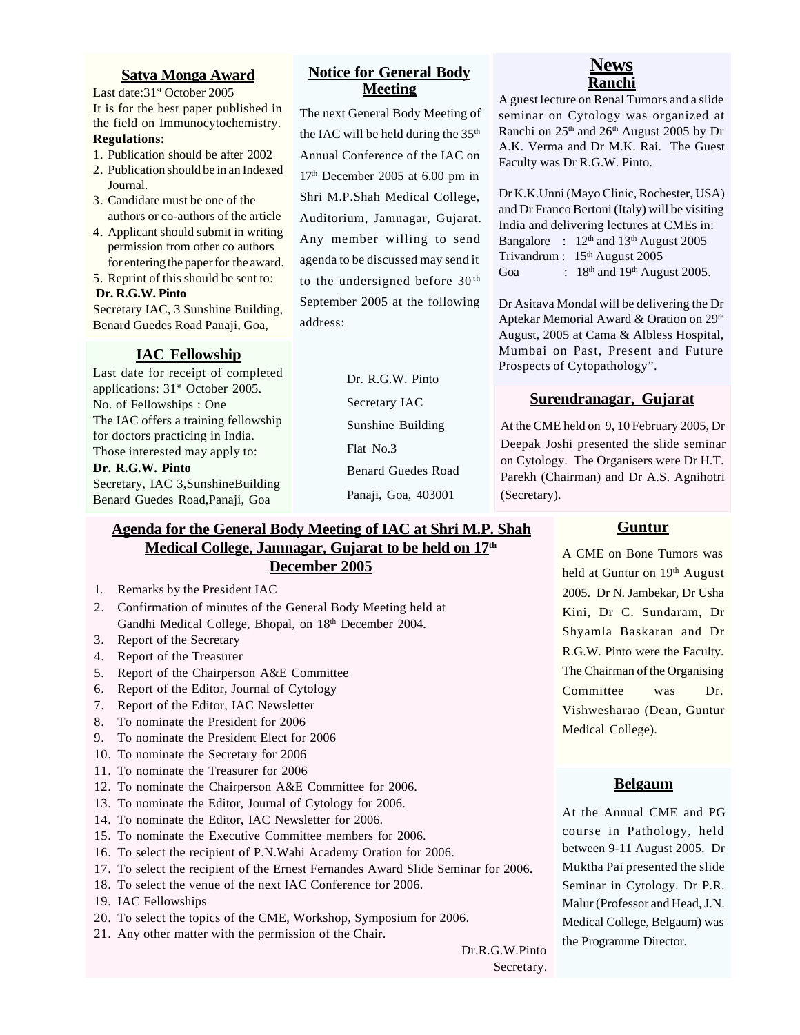## **Satya Monga Award**

Last date: 31<sup>st</sup> October 2005 It is for the best paper published in the field on Immunocytochemistry. **Regulations**:

- 1. Publication should be after 2002
- 2. Publication should be in an Indexed Journal.
- 3. Candidate must be one of the authors or co-authors of the article
- 4. Applicant should submit in writing permission from other co authors for entering the paper for the award.
- 5. Reprint of this should be sent to:  **Dr. R.G.W. Pinto**

Secretary IAC, 3 Sunshine Building, Benard Guedes Road Panaji, Goa,

### **IAC Fellowship**

Last date for receipt of completed applications: 31<sup>st</sup> October 2005. No. of Fellowships : One The IAC offers a training fellowship for doctors practicing in India. Those interested may apply to:

**Dr. R.G.W. Pinto**

Secretary, IAC 3,SunshineBuilding Benard Guedes Road,Panaji, Goa

## **Notice for General Body Meeting**

The next General Body Meeting of the IAC will be held during the  $35<sup>th</sup>$ Annual Conference of the IAC on  $17<sup>th</sup>$  December 2005 at 6.00 pm in Shri M.P.Shah Medical College, Auditorium, Jamnagar, Gujarat. Any member willing to send agenda to be discussed may send it to the undersigned before 30<sup>th</sup> September 2005 at the following address:

> Dr. R.G.W. Pinto Secretary IAC Sunshine Building Flat No.3 Benard Guedes Road Panaji, Goa, 403001

# **News Ranchi**

A guest lecture on Renal Tumors and a slide seminar on Cytology was organized at Ranchi on  $25<sup>th</sup>$  and  $26<sup>th</sup>$  August 2005 by Dr A.K. Verma and Dr M.K. Rai. The Guest Faculty was Dr R.G.W. Pinto.

Dr K.K.Unni (Mayo Clinic, Rochester, USA) and Dr Franco Bertoni (Italy) will be visiting India and delivering lectures at CMEs in: Bangalore :  $12<sup>th</sup>$  and  $13<sup>th</sup>$  August 2005 Trivandrum : 15<sup>th</sup> August 2005 Goa : 18<sup>th</sup> and 19<sup>th</sup> August 2005.

Dr Asitava Mondal will be delivering the Dr Aptekar Memorial Award & Oration on 29<sup>th</sup> August, 2005 at Cama & Albless Hospital, Mumbai on Past, Present and Future Prospects of Cytopathology".

# **Surendranagar, Gujarat**

At the CME held on 9, 10 February 2005, Dr Deepak Joshi presented the slide seminar on Cytology. The Organisers were Dr H.T. Parekh (Chairman) and Dr A.S. Agnihotri (Secretary).

#### **Guntur**

A CME on Bone Tumors was held at Guntur on 19<sup>th</sup> August 2005. Dr N. Jambekar, Dr Usha Kini, Dr C. Sundaram, Dr Shyamla Baskaran and Dr R.G.W. Pinto were the Faculty. The Chairman of the Organising Committee was Dr. Vishwesharao (Dean, Guntur Medical College).

### **Belgaum**

At the Annual CME and PG course in Pathology, held between 9-11 August 2005. Dr Muktha Pai presented the slide Seminar in Cytology. Dr P.R. Malur (Professor and Head, J.N. Medical College, Belgaum) was the Programme Director.

# **Agenda for the General Body Meeting of IAC at Shri M.P. Shah Medical College, Jamnagar, Gujarat to be held on 17th December 2005**

- 1. Remarks by the President IAC
- 2. Confirmation of minutes of the General Body Meeting held at Gandhi Medical College, Bhopal, on 18<sup>th</sup> December 2004.
- 3. Report of the Secretary
- 4. Report of the Treasurer
- 5. Report of the Chairperson A&E Committee
- 6. Report of the Editor, Journal of Cytology
- 7. Report of the Editor, IAC Newsletter
- 8. To nominate the President for 2006
- 9. To nominate the President Elect for 2006
- 10. To nominate the Secretary for 2006
- 11. To nominate the Treasurer for 2006
- 12. To nominate the Chairperson A&E Committee for 2006.
- 13. To nominate the Editor, Journal of Cytology for 2006.
- 14. To nominate the Editor, IAC Newsletter for 2006.
- 15. To nominate the Executive Committee members for 2006.
- 16. To select the recipient of P.N.Wahi Academy Oration for 2006.
- 17. To select the recipient of the Ernest Fernandes Award Slide Seminar for 2006.
- 18. To select the venue of the next IAC Conference for 2006.
- 19. IAC Fellowships
- 20. To select the topics of the CME, Workshop, Symposium for 2006.
- 21. Any other matter with the permission of the Chair.

Dr.R.G.W.Pinto Secretary.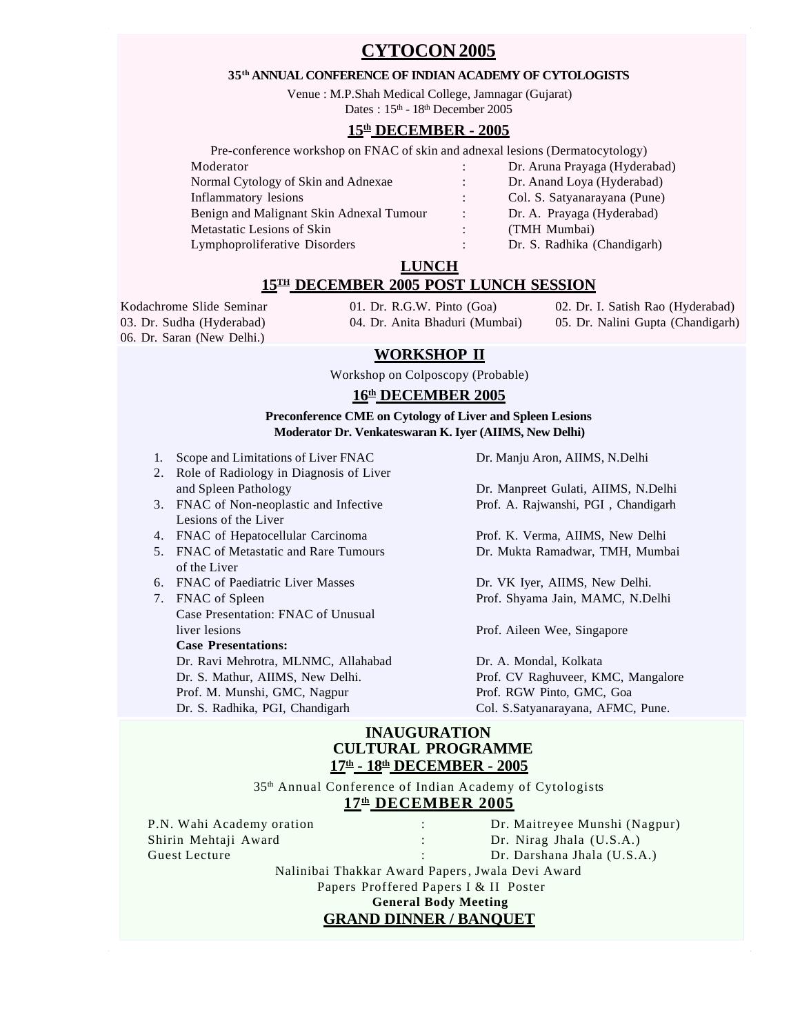# **CYTOCON 2005**

#### **35th ANNUAL CONFERENCE OF INDIAN ACADEMY OF CYTOLOGISTS**

Venue : M.P.Shah Medical College, Jamnagar (Gujarat) Dates:  $15<sup>th</sup> - 18<sup>th</sup>$  December 2005

## **15th DECEMBER - 2005**

Pre-conference workshop on FNAC of skin and adnexal lesions (Dermatocytology)

Moderator : Dr. Aruna Prayaga (Hyderabad) Normal Cytology of Skin and Adnexae : Dr. Anand Loya (Hyderabad) Inflammatory lesions : Col. S. Satyanarayana (Pune) Benign and Malignant Skin Adnexal Tumour : Dr. A. Prayaga (Hyderabad) Metastatic Lesions of Skin : (TMH Mumbai) Lymphoproliferative Disorders : Dr. S. Radhika (Chandigarh)

## **LUNCH**

### **15TH DECEMBER 2005 POST LUNCH SESSION**

06. Dr. Saran (New Delhi.)

03. Dr. Sudha (Hyderabad) 04. Dr. Anita Bhaduri (Mumbai) 05. Dr. Nalini Gupta (Chandigarh)

Kodachrome Slide Seminar 01. Dr. R.G.W. Pinto (Goa) 02. Dr. I. Satish Rao (Hyderabad)

### **WORKSHOP II**

Workshop on Colposcopy (Probable)

## **16th DECEMBER 2005**

#### **Preconference CME on Cytology of Liver and Spleen Lesions Moderator Dr. Venkateswaran K. Iyer (AIIMS, New Delhi)**

- 1. Scope and Limitations of Liver FNAC Dr. Manju Aron, AIIMS, N.Delhi
- 2. Role of Radiology in Diagnosis of Liver and Spleen Pathology Dr. Manpreet Gulati, AIIMS, N.Delhi
- Lesions of the Liver
- 4. FNAC of Hepatocellular Carcinoma Prof. K. Verma, AIIMS, New Delhi
- 5. FNAC of Metastatic and Rare Tumours Dr. Mukta Ramadwar, TMH, Mumbai of the Liver
- 6. FNAC of Paediatric Liver Masses Dr. VK Iyer, AIIMS, New Delhi.
- 7. FNAC of Spleen Prof. Shyama Jain, MAMC, N.Delhi Case Presentation: FNAC of Unusual liver lesions Prof. Aileen Wee, Singapore **Case Presentations:**

Dr. Ravi Mehrotra, MLNMC, Allahabad Dr. A. Mondal, Kolkata Dr. S. Mathur, AIIMS, New Delhi. Prof. CV Raghuveer, KMC, Mangalore Prof. M. Munshi, GMC, Nagpur Prof. RGW Pinto, GMC, Goa Dr. S. Radhika, PGI, Chandigarh Col. S.Satyanarayana, AFMC, Pune.

3. FNAC of Non-neoplastic and Infective Prof. A. Rajwanshi, PGI , Chandigarh

### **INAUGURATION CULTURAL PROGRAMME 17th - 18th DECEMBER - 2005**

35th Annual Conference of Indian Academy of Cytologists **17th DECEMBER 2005**

P.N. Wahi Academy oration : Dr. Maitreyee Munshi (Nagpur) Shirin Mehtaji Award : Dr. Nirag Jhala (U.S.A.) Guest Lecture : Constanting the Constanting Constanting Constanting Constanting Dr. Darshana Jhala (U.S.A.) Nalinibai Thakkar Award Papers, Jwala Devi Award Papers Proffered Papers I & II Poster

**General Body Meeting**

# **GRAND DINNER / BANQUET**